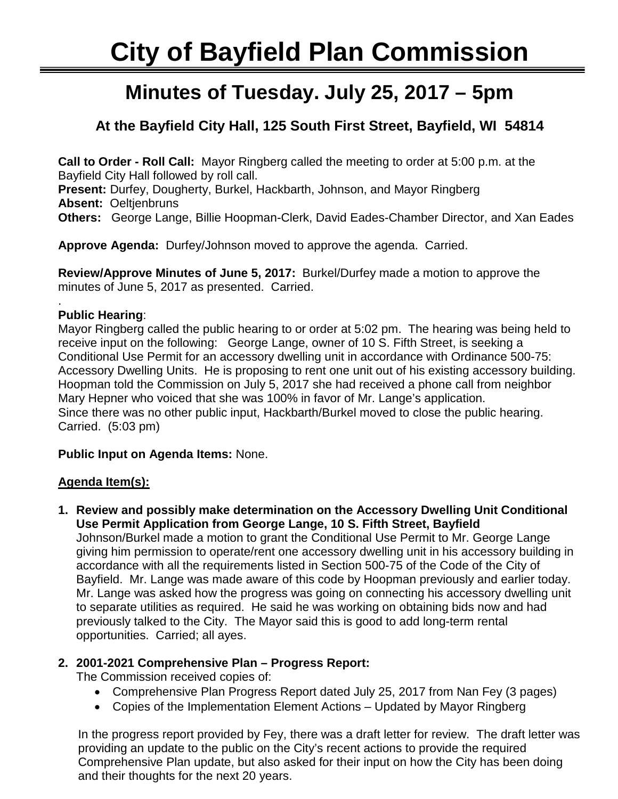# **City of Bayfield Plan Commission**

## ٦ **Minutes of Tuesday. July 25, 2017 – 5pm**

## **At the Bayfield City Hall, 125 South First Street, Bayfield, WI 54814**

**Call to Order - Roll Call:** Mayor Ringberg called the meeting to order at 5:00 p.m. at the Bayfield City Hall followed by roll call. **Present:** Durfey, Dougherty, Burkel, Hackbarth, Johnson, and Mayor Ringberg **Absent:** Oeltjenbruns **Others:** George Lange, Billie Hoopman-Clerk, David Eades-Chamber Director, and Xan Eades

**Approve Agenda:** Durfey/Johnson moved to approve the agenda. Carried.

**Review/Approve Minutes of June 5, 2017:** Burkel/Durfey made a motion to approve the minutes of June 5, 2017 as presented. Carried.

#### . **Public Hearing**:

Mayor Ringberg called the public hearing to or order at 5:02 pm. The hearing was being held to receive input on the following: George Lange, owner of 10 S. Fifth Street, is seeking a Conditional Use Permit for an accessory dwelling unit in accordance with Ordinance 500-75: Accessory Dwelling Units. He is proposing to rent one unit out of his existing accessory building. Hoopman told the Commission on July 5, 2017 she had received a phone call from neighbor Mary Hepner who voiced that she was 100% in favor of Mr. Lange's application. Since there was no other public input, Hackbarth/Burkel moved to close the public hearing. Carried. (5:03 pm)

#### **Public Input on Agenda Items:** None.

#### **Agenda Item(s):**

**1. Review and possibly make determination on the Accessory Dwelling Unit Conditional Use Permit Application from George Lange, 10 S. Fifth Street, Bayfield**

Johnson/Burkel made a motion to grant the Conditional Use Permit to Mr. George Lange giving him permission to operate/rent one accessory dwelling unit in his accessory building in accordance with all the requirements listed in Section 500-75 of the Code of the City of Bayfield. Mr. Lange was made aware of this code by Hoopman previously and earlier today. Mr. Lange was asked how the progress was going on connecting his accessory dwelling unit to separate utilities as required. He said he was working on obtaining bids now and had previously talked to the City. The Mayor said this is good to add long-term rental opportunities. Carried; all ayes.

### **2. 2001-2021 Comprehensive Plan – Progress Report:**

The Commission received copies of:

- Comprehensive Plan Progress Report dated July 25, 2017 from Nan Fey (3 pages)
- Copies of the Implementation Element Actions Updated by Mayor Ringberg

In the progress report provided by Fey, there was a draft letter for review. The draft letter was providing an update to the public on the City's recent actions to provide the required Comprehensive Plan update, but also asked for their input on how the City has been doing and their thoughts for the next 20 years.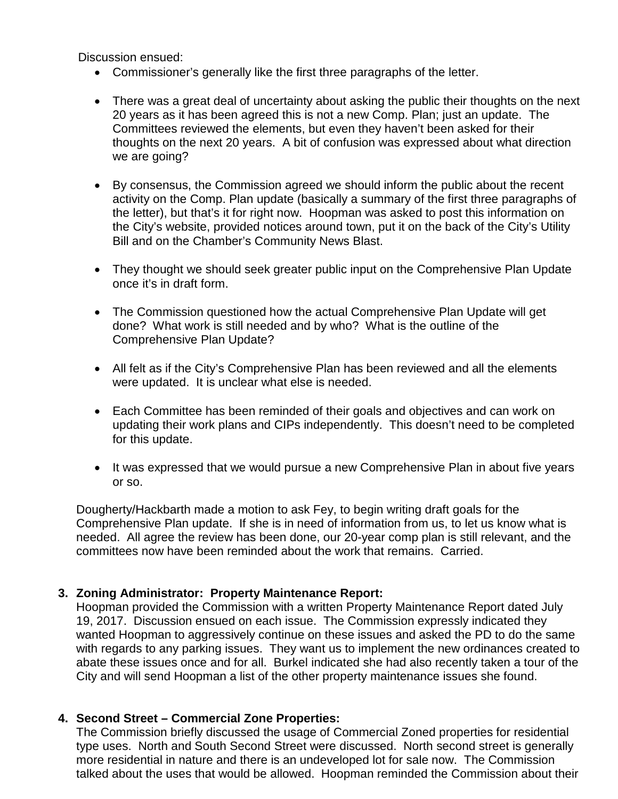Discussion ensued:

- Commissioner's generally like the first three paragraphs of the letter.
- There was a great deal of uncertainty about asking the public their thoughts on the next 20 years as it has been agreed this is not a new Comp. Plan; just an update. The Committees reviewed the elements, but even they haven't been asked for their thoughts on the next 20 years. A bit of confusion was expressed about what direction we are going?
- By consensus, the Commission agreed we should inform the public about the recent activity on the Comp. Plan update (basically a summary of the first three paragraphs of the letter), but that's it for right now. Hoopman was asked to post this information on the City's website, provided notices around town, put it on the back of the City's Utility Bill and on the Chamber's Community News Blast.
- They thought we should seek greater public input on the Comprehensive Plan Update once it's in draft form.
- The Commission questioned how the actual Comprehensive Plan Update will get done? What work is still needed and by who? What is the outline of the Comprehensive Plan Update?
- All felt as if the City's Comprehensive Plan has been reviewed and all the elements were updated. It is unclear what else is needed.
- Each Committee has been reminded of their goals and objectives and can work on updating their work plans and CIPs independently. This doesn't need to be completed for this update.
- It was expressed that we would pursue a new Comprehensive Plan in about five years or so.

Dougherty/Hackbarth made a motion to ask Fey, to begin writing draft goals for the Comprehensive Plan update. If she is in need of information from us, to let us know what is needed. All agree the review has been done, our 20-year comp plan is still relevant, and the committees now have been reminded about the work that remains. Carried.

#### **3. Zoning Administrator: Property Maintenance Report:**

Hoopman provided the Commission with a written Property Maintenance Report dated July 19, 2017. Discussion ensued on each issue. The Commission expressly indicated they wanted Hoopman to aggressively continue on these issues and asked the PD to do the same with regards to any parking issues. They want us to implement the new ordinances created to abate these issues once and for all. Burkel indicated she had also recently taken a tour of the City and will send Hoopman a list of the other property maintenance issues she found.

#### **4. Second Street – Commercial Zone Properties:**

The Commission briefly discussed the usage of Commercial Zoned properties for residential type uses. North and South Second Street were discussed. North second street is generally more residential in nature and there is an undeveloped lot for sale now. The Commission talked about the uses that would be allowed. Hoopman reminded the Commission about their